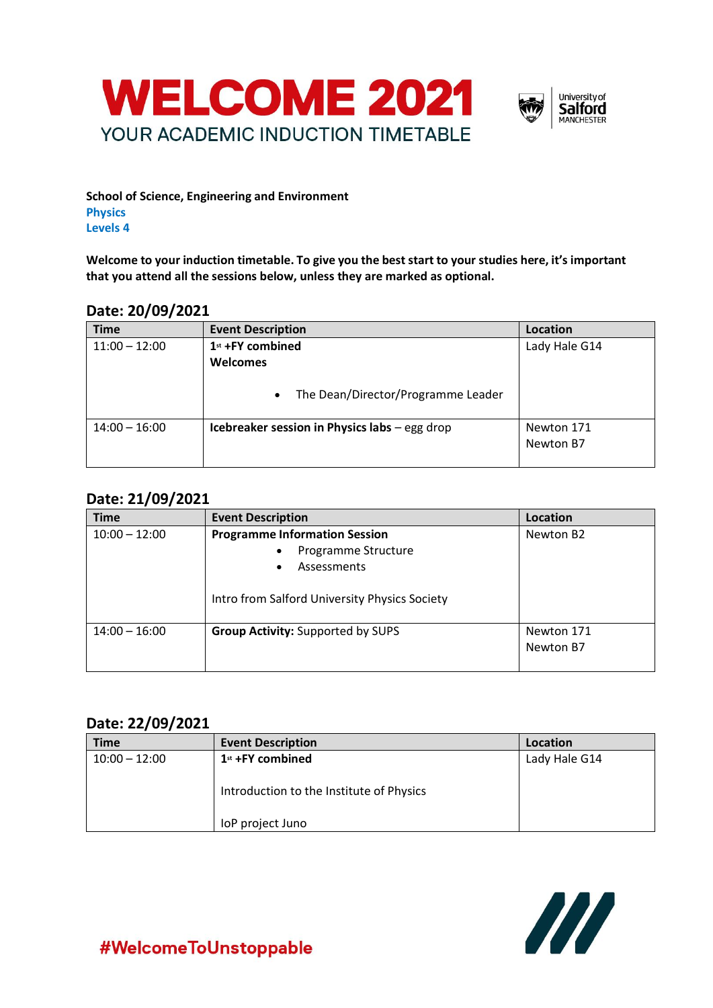



**School of Science, Engineering and Environment Physics Levels 4**

**Welcome to your induction timetable. To give you the best start to your studies here, it's important that you attend all the sessions below, unless they are marked as optional.**

### **Date: 20/09/2021**

| <b>Time</b>     | <b>Event Description</b>                        | Location      |
|-----------------|-------------------------------------------------|---------------|
| $11:00 - 12:00$ | 1st +FY combined                                | Lady Hale G14 |
|                 | <b>Welcomes</b>                                 |               |
|                 | The Dean/Director/Programme Leader<br>$\bullet$ |               |
| $14:00 - 16:00$ | Icebreaker session in Physics labs - egg drop   | Newton 171    |
|                 |                                                 | Newton B7     |
|                 |                                                 |               |

# **Date: 21/09/2021**

| <b>Time</b>     | <b>Event Description</b>                                                                                                                 | Location                |
|-----------------|------------------------------------------------------------------------------------------------------------------------------------------|-------------------------|
| $10:00 - 12:00$ | <b>Programme Information Session</b><br>Programme Structure<br>Assessments<br>$\bullet$<br>Intro from Salford University Physics Society | Newton B2               |
| $14:00 - 16:00$ | <b>Group Activity: Supported by SUPS</b>                                                                                                 | Newton 171<br>Newton B7 |

### **Date: 22/09/2021**

| <b>Time</b>     | <b>Event Description</b>                                     | Location      |
|-----------------|--------------------------------------------------------------|---------------|
| $10:00 - 12:00$ | $1st$ +FY combined                                           | Lady Hale G14 |
|                 | Introduction to the Institute of Physics<br>loP project Juno |               |



#WelcomeToUnstoppable